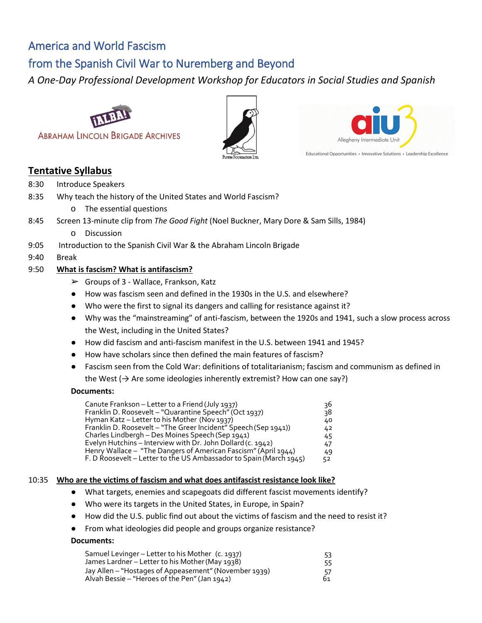# America and World Fascism

# from the Spanish Civil War to Nuremberg and Beyond

*A One-Day Professional Development Workshop for Educators in Social Studies and Spanish*



**ABRAHAM LINCOLN BRIGADE ARCHIVES** 

# **Tentative Syllabus**



- 8:35 Why teach the history of the United States and World Fascism?
	- o The essential questions
- 8:45 Screen 13-minute clip from *The Good Fight* (Noel Buckner, Mary Dore & Sam Sills, 1984)
	- o Discussion
- 9:05 Introduction to the Spanish Civil War & the Abraham Lincoln Brigade
- 9:40 Break

## 9:50 **What is fascism? What is antifascism?**

- $\triangleright$  Groups of 3 Wallace, Frankson, Katz
- How was fascism seen and defined in the 1930s in the U.S. and elsewhere?
- Who were the first to signal its dangers and calling for resistance against it?
- Why was the "mainstreaming" of anti-fascism, between the 1920s and 1941, such a slow process across the West, including in the United States?
- How did fascism and anti-fascism manifest in the U.S. between 1941 and 1945?
- How have scholars since then defined the main features of fascism?
- Fascism seen from the Cold War: definitions of totalitarianism; fascism and communism as defined in the West ( $\rightarrow$  Are some ideologies inherently extremist? How can one say?)

### **Documents:**

| Canute Frankson - Letter to a Friend (July 1937)<br>36<br>Franklin D. Roosevelt – "Quarantine Speech" (Oct 1937)<br>Hyman Katz – Letter to his Mother (Nov 1937)<br>Franklin D. Roosevelt - "The Greer Incident" Speech (Sep 1941))<br>Charles Lindbergh - Des Moines Speech (Sep 1941) | 38<br>40<br>42<br>45 |
|-----------------------------------------------------------------------------------------------------------------------------------------------------------------------------------------------------------------------------------------------------------------------------------------|----------------------|
| Evelyn Hutchins - Interview with Dr. John Dollard (c. 1942)                                                                                                                                                                                                                             | 47                   |
| Henry Wallace – "The Dangers of American Fascism" (April 1944)<br>F. D Roosevelt – Letter to the US Ambassador to Spain (March 1945)                                                                                                                                                    | 49<br>52             |

### 10:35 **Who are the victims of fascism and what does antifascist resistance look like?**

- What targets, enemies and scapegoats did different fascist movements identify?
- Who were its targets in the United States, in Europe, in Spain?
- How did the U.S. public find out about the victims of fascism and the need to resist it?
- From what ideologies did people and groups organize resistance?

### **Documents:**

| Samuel Levinger - Letter to his Mother (c. 1937)      | 53. |
|-------------------------------------------------------|-----|
| James Lardner - Letter to his Mother (May 1938)       | 55  |
| Jay Allen – "Hostages of Appeasement" (November 1939) | 57  |
| Alvah Bessie – "Heroes of the Pen" (Jan 1942)         | 61  |